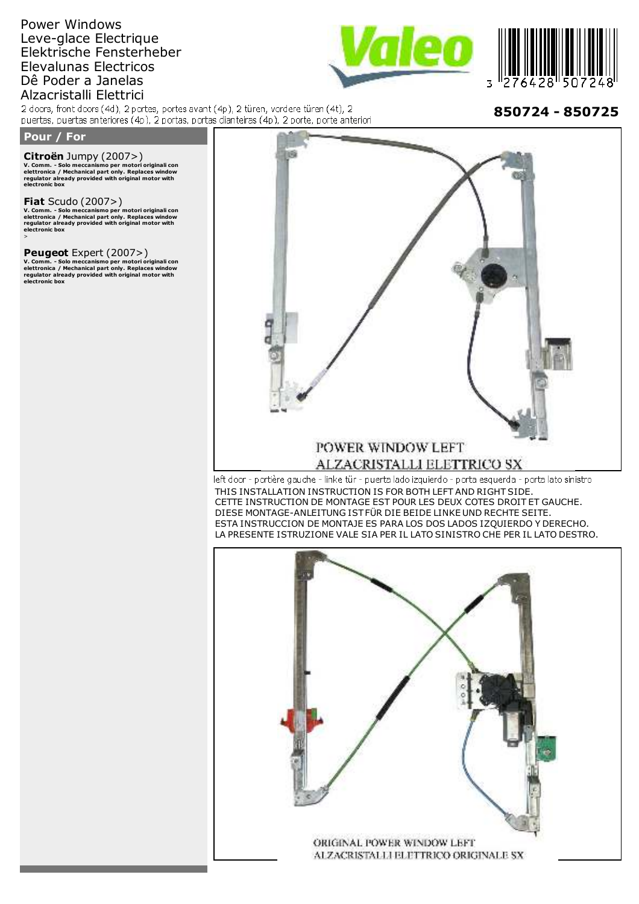# Power Windows Leve-glace Electrique<br>Elektrische Fensterheber Elevalunas Electricos Dê Poder a Janelas Alzacristalli Elettrici

2 doors, front doors (4d), 2 portes, portes avant (4p), 2 türen, vordere türen (4t), 2 puertas, puertas anteriores (4p), 2 portas, portas dianteiras (4p), 2 porte, porte anteriori



850724 - 850725

### Pour / For

**Citroën** Jumpy  $(2007)$ <br>v. Comm. - Solo meccanismo per motori originali consident<br>elettronica / Mechanical part only. Replaces window<br>regulator already provided with original motor with electronic box

**Fiat** Scudo  $(2007)$ 

**Peugeot** Expert  $(2007>)$ <br>
V. Comm. - Solo meccanismo per motori originali con<br>
elettronica / Mechanical part only. Replaces window<br>
regulator already provided with original motor with electronic box



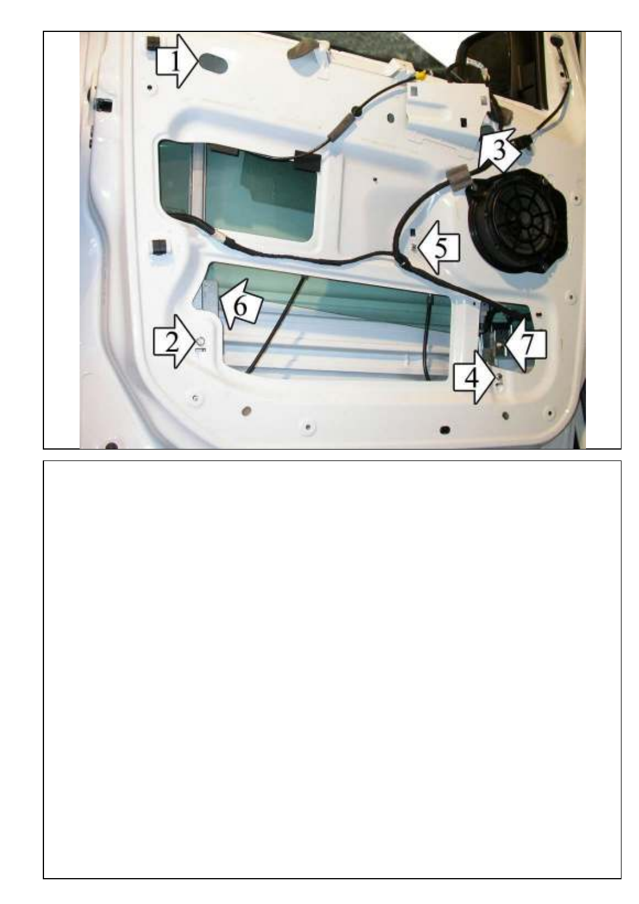